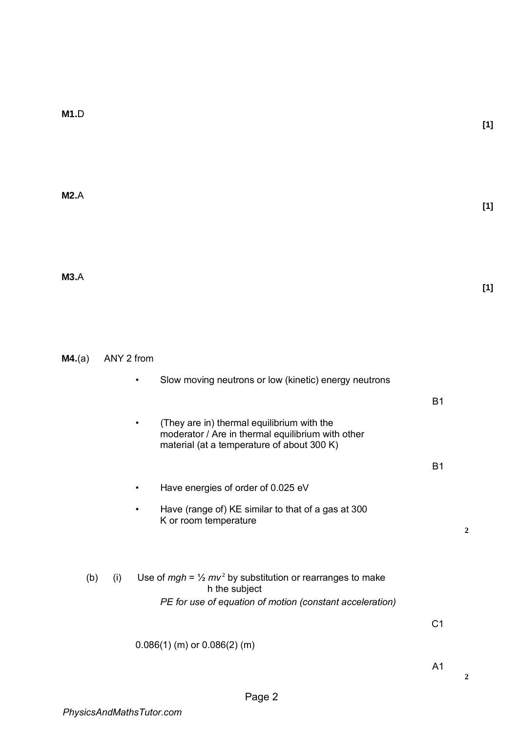**M2.**A

**M3.**A

**[1]** 

**M4.**(a) ANY 2 from

|  |  | Slow moving neutrons or low (kinetic) energy neutrons |
|--|--|-------------------------------------------------------|
|  |  |                                                       |

B1

B1

| $\bullet$ | (They are in) thermal equilibrium with the        |
|-----------|---------------------------------------------------|
|           | moderator / Are in thermal equilibrium with other |
|           | material (at a temperature of about 300 K)        |

- Have energies of order of 0.025 eV
- Have (range of) KE similar to that of a gas at 300 K or room temperature
- **2**
- 

 h the subject *PE for use of equation of motion (constant acceleration)* 

(b) (i) Use of  $mgh = \frac{1}{2}mv^2$  by substitution or rearranges to make

 $C<sub>1</sub>$ 

## 0.086(1) (m) or 0.086(2) (m)

A1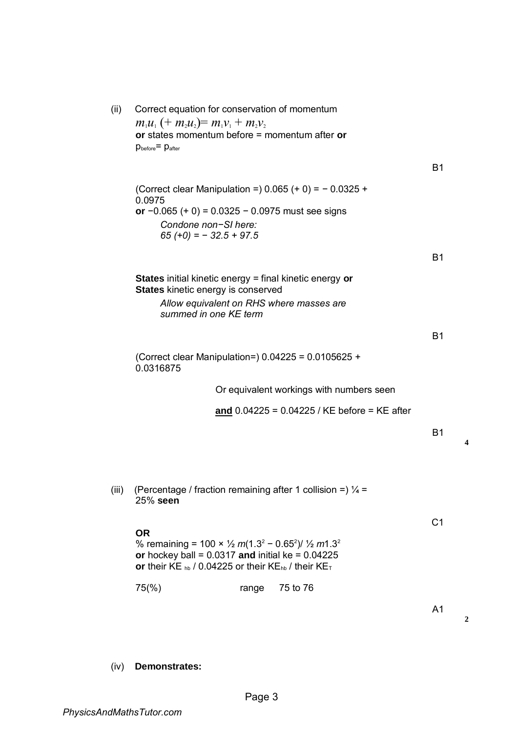| (ii)  | Correct equation for conservation of momentum<br>$m_1u_1 + m_2u_2 = m_1v_1 + m_2v_2$<br>or states momentum before $=$ momentum after or<br>$p_{before} = p_{after}$                                                                                                 |       |                                                |                |
|-------|---------------------------------------------------------------------------------------------------------------------------------------------------------------------------------------------------------------------------------------------------------------------|-------|------------------------------------------------|----------------|
|       |                                                                                                                                                                                                                                                                     |       |                                                | <b>B1</b>      |
|       | (Correct clear Manipulation =) $0.065 (+ 0) = -0.0325 +$                                                                                                                                                                                                            |       |                                                |                |
|       | 0.0975<br>or $-0.065 (+ 0) = 0.0325 - 0.0975$ must see signs                                                                                                                                                                                                        |       |                                                |                |
|       | Condone non-SI here:<br>$65 (+0) = -32.5 + 97.5$                                                                                                                                                                                                                    |       |                                                |                |
|       |                                                                                                                                                                                                                                                                     |       |                                                | <b>B1</b>      |
|       | <b>States</b> initial kinetic energy = final kinetic energy or                                                                                                                                                                                                      |       |                                                |                |
|       | States kinetic energy is conserved                                                                                                                                                                                                                                  |       |                                                |                |
|       | Allow equivalent on RHS where masses are<br>summed in one KE term                                                                                                                                                                                                   |       |                                                |                |
|       |                                                                                                                                                                                                                                                                     |       |                                                | <b>B1</b>      |
|       | (Correct clear Manipulation=) $0.04225 = 0.0105625 +$<br>0.0316875                                                                                                                                                                                                  |       |                                                |                |
|       |                                                                                                                                                                                                                                                                     |       | Or equivalent workings with numbers seen       |                |
|       |                                                                                                                                                                                                                                                                     |       | and $0.04225 = 0.04225$ / KE before = KE after |                |
|       |                                                                                                                                                                                                                                                                     |       |                                                | <b>B1</b>      |
|       |                                                                                                                                                                                                                                                                     |       |                                                |                |
|       |                                                                                                                                                                                                                                                                     |       |                                                |                |
| (iii) | (Percentage / fraction remaining after 1 collision =) $\frac{1}{4}$ =<br>25% seen                                                                                                                                                                                   |       |                                                |                |
|       |                                                                                                                                                                                                                                                                     |       |                                                | C <sub>1</sub> |
|       | <b>OR</b><br>% remaining = 100 × $\frac{1}{2}$ m(1.3 <sup>2</sup> – 0.65 <sup>2</sup> )/ $\frac{1}{2}$ m1.3 <sup>2</sup><br>or hockey ball = $0.0317$ and initial ke = $0.04225$<br>or their KE $_{hb}$ / 0.04225 or their KE <sub>hb</sub> / their KE <sub>T</sub> |       |                                                |                |
|       | $75\frac{6}{6}$                                                                                                                                                                                                                                                     | range | 75 to 76                                       |                |
|       |                                                                                                                                                                                                                                                                     |       |                                                | A <sub>1</sub> |
|       |                                                                                                                                                                                                                                                                     |       |                                                |                |

**4**

**2**

(iv) **Demonstrates:**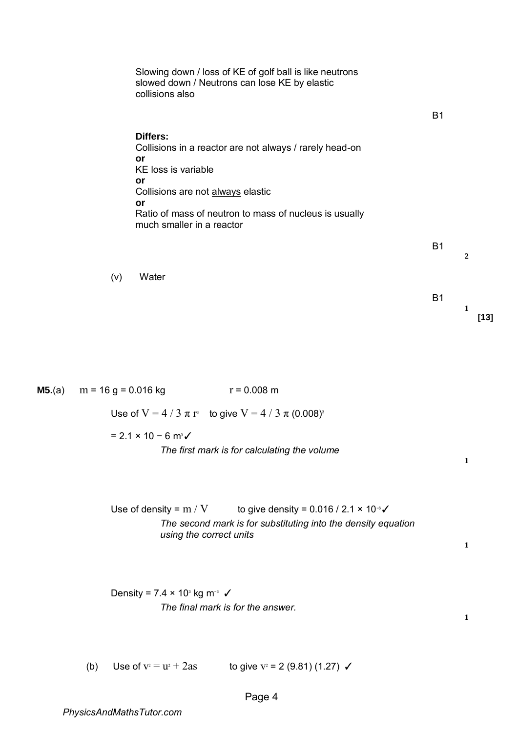|                | Slowing down / loss of KE of golf ball is like neutrons<br>slowed down / Neutrons can lose KE by elastic<br>collisions also                                                                                                                     |           |                  |        |
|----------------|-------------------------------------------------------------------------------------------------------------------------------------------------------------------------------------------------------------------------------------------------|-----------|------------------|--------|
|                |                                                                                                                                                                                                                                                 | <b>B1</b> |                  |        |
|                | <b>Differs:</b><br>Collisions in a reactor are not always / rarely head-on<br>or<br>KE loss is variable<br>or<br>Collisions are not always elastic<br>or<br>Ratio of mass of neutron to mass of nucleus is usually<br>much smaller in a reactor |           |                  |        |
|                |                                                                                                                                                                                                                                                 | <b>B1</b> |                  |        |
|                | (v)<br>Water                                                                                                                                                                                                                                    |           | $\boldsymbol{2}$ |        |
|                |                                                                                                                                                                                                                                                 | <b>B1</b> | 1                | $[13]$ |
|                |                                                                                                                                                                                                                                                 |           |                  |        |
| <b>M5.</b> (a) | $m = 16$ g = 0.016 kg<br>$r = 0.008$ m                                                                                                                                                                                                          |           |                  |        |
|                | Use of $V = 4 / 3 \pi r^3$ to give $V = 4 / 3 \pi (0.008)^3$                                                                                                                                                                                    |           |                  |        |
|                | $= 2.1 \times 10 - 6$ m <sup>3</sup> $\checkmark$<br>The first mark is for calculating the volume                                                                                                                                               |           | 1                |        |
|                | Use of density = $m / V$<br>to give density = $0.016 / 2.1 \times 10^{-6}$<br>The second mark is for substituting into the density equation<br>using the correct units                                                                          |           | 1                |        |
|                | Density = $7.4 \times 10^3$ kg m <sup>-3</sup> $\checkmark$<br>The final mark is for the answer.                                                                                                                                                |           | 1                |        |
|                | Use of $v = u^2 + 2as$<br>to give $v^2 = 2$ (9.81) (1.27) $\checkmark$<br>(b)                                                                                                                                                                   |           |                  |        |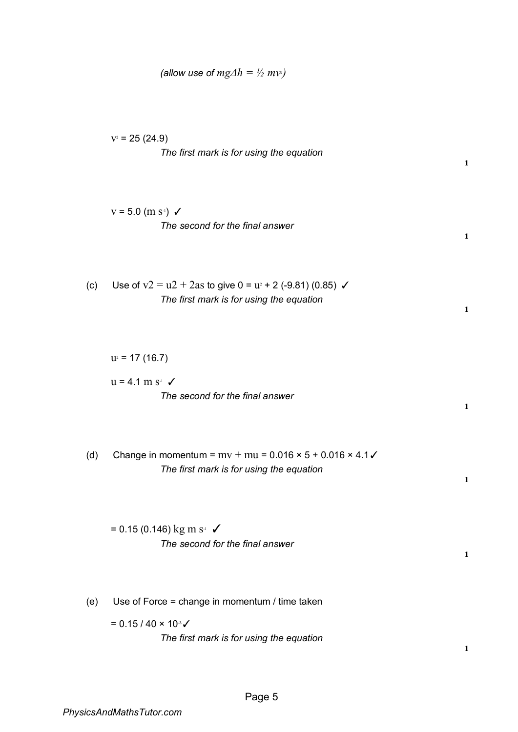| $v^2$ = 25 (24.9) |                                          |  |
|-------------------|------------------------------------------|--|
|                   | The first mark is for using the equation |  |

$$
v = 5.0 \, (\text{m s}^{\text{-}})
$$
  $\checkmark$    
\n*The second for the final answer*

(c) Use of  $v2 = u2 + 2as$  to give  $0 = u^2 + 2(-9.81)$  (0.85)  $\checkmark$ *The first mark is for using the equation* 

 $u^2 = 17(16.7)$ 

$$
u = 4.1 \text{ m s}^{-1} \checkmark
$$
  
The second for the final answer

**1**

**1**

**1**

**1**

**1**

**1**

(d) Change in momentum =  $mv + mu = 0.016 \times 5 + 0.016 \times 4.1 \checkmark$ *The first mark is for using the equation* 

 $= 0.15 (0.146)$  kg m s<sup>-1</sup>  $\checkmark$ *The second for the final answer* 

(e) Use of Force = change in momentum / time taken

=  $0.15 / 40 \times 10$ <sup>3</sup>√ *The first mark is for using the equation* 

**1**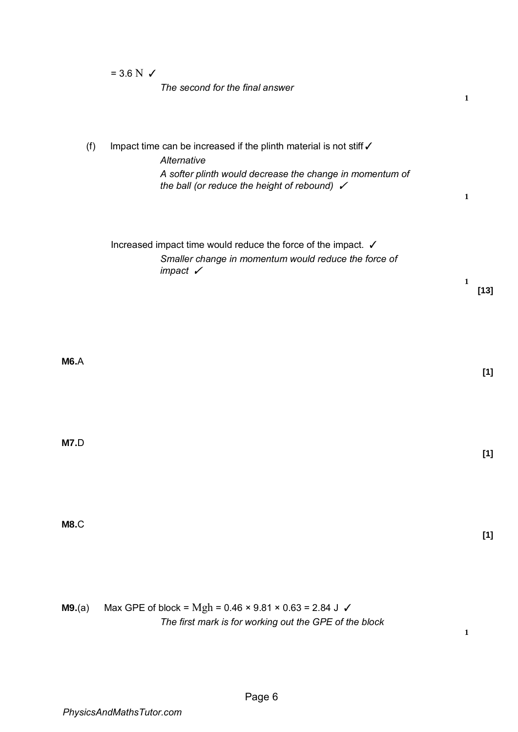|             | $= 3.6 N \checkmark$<br>The second for the final answer                                                                                                                                                             | $\mathbf{1}$ |
|-------------|---------------------------------------------------------------------------------------------------------------------------------------------------------------------------------------------------------------------|--------------|
| (f)         | Impact time can be increased if the plinth material is not stiff $\checkmark$<br>Alternative<br>A softer plinth would decrease the change in momentum of<br>the ball (or reduce the height of rebound) $\checkmark$ | $\mathbf{1}$ |
|             | Increased impact time would reduce the force of the impact. ✓<br>Smaller change in momentum would reduce the force of<br>impact $\checkmark$                                                                        | 1<br>$[13]$  |
| <b>M6.A</b> |                                                                                                                                                                                                                     | $[1]$        |
| M7.D        |                                                                                                                                                                                                                     | $[1]$        |
| <b>M8.C</b> |                                                                                                                                                                                                                     | $[1]$        |
| M9.(a)      | Max GPE of block = $Mgh = 0.46 \times 9.81 \times 0.63 = 2.84 \text{ J} \checkmark$                                                                                                                                 |              |

*The first mark is for working out the GPE of the block* 

**1**